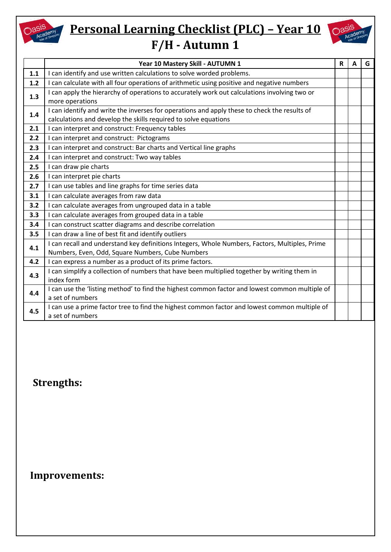

# **Personal Learning Checklist (PLC) - Year 10 OasiS F/H - Autumn 1**



|     | Year 10 Mastery Skill - AUTUMN 1                                                                                                                                | R | A | G |
|-----|-----------------------------------------------------------------------------------------------------------------------------------------------------------------|---|---|---|
| 1.1 | I can identify and use written calculations to solve worded problems.                                                                                           |   |   |   |
| 1.2 | I can calculate with all four operations of arithmetic using positive and negative numbers                                                                      |   |   |   |
| 1.3 | I can apply the hierarchy of operations to accurately work out calculations involving two or<br>more operations                                                 |   |   |   |
| 1.4 | I can identify and write the inverses for operations and apply these to check the results of<br>calculations and develop the skills required to solve equations |   |   |   |
| 2.1 | I can interpret and construct: Frequency tables                                                                                                                 |   |   |   |
| 2.2 | I can interpret and construct: Pictograms                                                                                                                       |   |   |   |
| 2.3 | I can interpret and construct: Bar charts and Vertical line graphs                                                                                              |   |   |   |
| 2.4 | I can interpret and construct: Two way tables                                                                                                                   |   |   |   |
| 2.5 | I can draw pie charts                                                                                                                                           |   |   |   |
| 2.6 | I can interpret pie charts                                                                                                                                      |   |   |   |
| 2.7 | I can use tables and line graphs for time series data                                                                                                           |   |   |   |
| 3.1 | I can calculate averages from raw data                                                                                                                          |   |   |   |
| 3.2 | I can calculate averages from ungrouped data in a table                                                                                                         |   |   |   |
| 3.3 | I can calculate averages from grouped data in a table                                                                                                           |   |   |   |
| 3.4 | I can construct scatter diagrams and describe correlation                                                                                                       |   |   |   |
| 3.5 | I can draw a line of best fit and identify outliers                                                                                                             |   |   |   |
| 4.1 | I can recall and understand key definitions Integers, Whole Numbers, Factors, Multiples, Prime<br>Numbers, Even, Odd, Square Numbers, Cube Numbers              |   |   |   |
| 4.2 | I can express a number as a product of its prime factors.                                                                                                       |   |   |   |
| 4.3 | I can simplify a collection of numbers that have been multiplied together by writing them in<br>index form                                                      |   |   |   |
| 4.4 | I can use the 'listing method' to find the highest common factor and lowest common multiple of<br>a set of numbers                                              |   |   |   |
| 4.5 | I can use a prime factor tree to find the highest common factor and lowest common multiple of<br>a set of numbers                                               |   |   |   |

#### **Strengths:**

#### **Improvements:**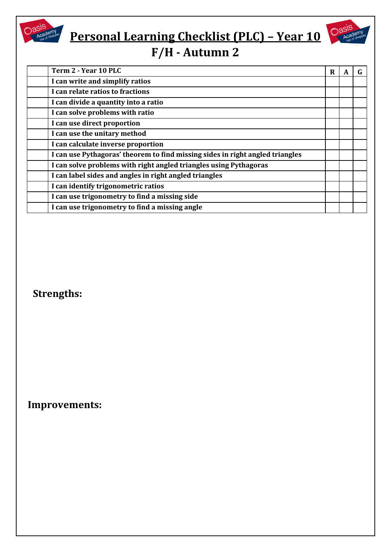# **Personal Learning Checklist (PLC) – Year 10**



### **F/H - Autumn 2**

| Term 2 - Year 10 PLC                                                          | R | A |  |
|-------------------------------------------------------------------------------|---|---|--|
| I can write and simplify ratios                                               |   |   |  |
| I can relate ratios to fractions                                              |   |   |  |
| I can divide a quantity into a ratio                                          |   |   |  |
| I can solve problems with ratio                                               |   |   |  |
| I can use direct proportion                                                   |   |   |  |
| I can use the unitary method                                                  |   |   |  |
| I can calculate inverse proportion                                            |   |   |  |
| I can use Pythagoras' theorem to find missing sides in right angled triangles |   |   |  |
| I can solve problems with right angled triangles using Pythagoras             |   |   |  |
| I can label sides and angles in right angled triangles                        |   |   |  |
| I can identify trigonometric ratios                                           |   |   |  |
| I can use trigonometry to find a missing side                                 |   |   |  |
| I can use trigonometry to find a missing angle                                |   |   |  |

### **Strengths:**

**Oasis**<br>Academy

 **Improvements:**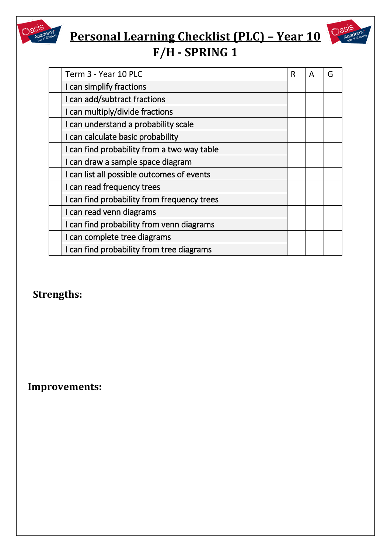

# **Personal Learning Checklist (PLC) – Year 10**



| Term 3 - Year 10 PLC                        | R | A | G |
|---------------------------------------------|---|---|---|
| I can simplify fractions                    |   |   |   |
| I can add/subtract fractions                |   |   |   |
| I can multiply/divide fractions             |   |   |   |
| I can understand a probability scale        |   |   |   |
| I can calculate basic probability           |   |   |   |
| I can find probability from a two way table |   |   |   |
| I can draw a sample space diagram           |   |   |   |
| I can list all possible outcomes of events  |   |   |   |
| I can read frequency trees                  |   |   |   |
| I can find probability from frequency trees |   |   |   |
| I can read venn diagrams                    |   |   |   |
| I can find probability from venn diagrams   |   |   |   |
| I can complete tree diagrams                |   |   |   |
| I can find probability from tree diagrams   |   |   |   |

### **Strengths:**

 **Improvements:**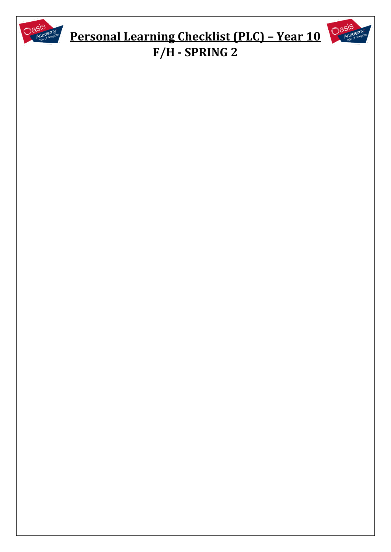

# **Personal Learning Checklist (PLC) – Year 10 F/H - SPRING 2**

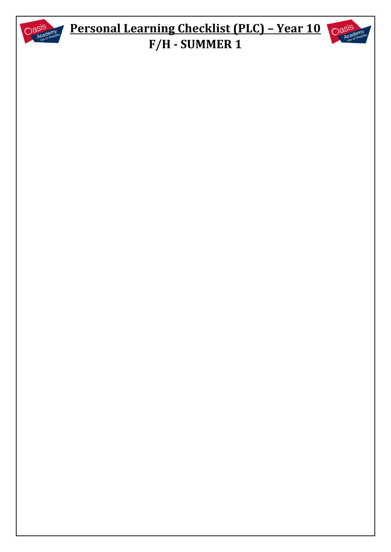

## **Personal Learning Checklist (PLC) – Year 10 OasiS F/H - SUMMER 1**